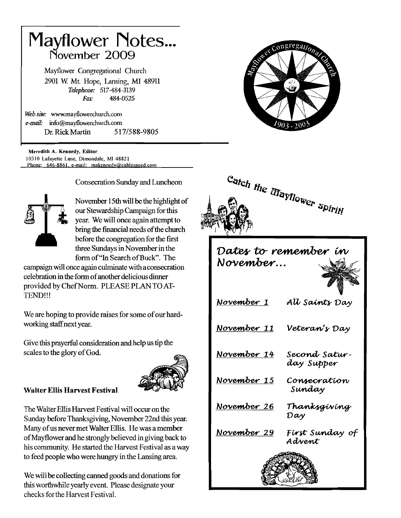# **Mayflower Notes...** November 2009

Mayflower Congregational Church 2901 W. Mt. Hope, Lansing, MI 48911 Telephone: 517-484-3139  $F_{\alpha x}$ 484-0525

Web site: www.mavflowerchurch.com e-mail: info@mayflowerchurch.com Dr. Rick Martin 517/588-9805

Meredith A. Kennedy, Editor 10310 Lafavette Lane, Dimondale, MI 48821 Phone: 646-8861, e-mail: makennedy@cablespeed.com



**Consecration Sunday and Luncheon** 

November 15th will be the highlight of our Stewardship Campaign for this year. We will once again attempt to bring the financial needs of the church before the congregation for the first three Sundays in November in the form of "In Search of Buck". The

campaign will once again culminate with a consecration celebration in the form of another delicious dinner provided by Chef Norm. PLEASE PLAN TO AT-TEND!!!

We are hoping to provide raises for some of our hardworking staff next year.

Give this prayerful consideration and help us tip the scales to the glory of God.



# **Walter Ellis Harvest Festival**

The Walter Ellis Harvest Festival will occur on the Sunday before Thanksgiving, November 22nd this year. Many of us never met Walter Ellis. He was a member of Mayflower and he strongly believed in giving back to his community. He started the Harvest Festival as a way to feed people who were hungry in the Lansing area.

We will be collecting canned goods and donations for this worthwhile yearly event. Please designate your checks for the Harvest Festival.





# Dates to remember in November...

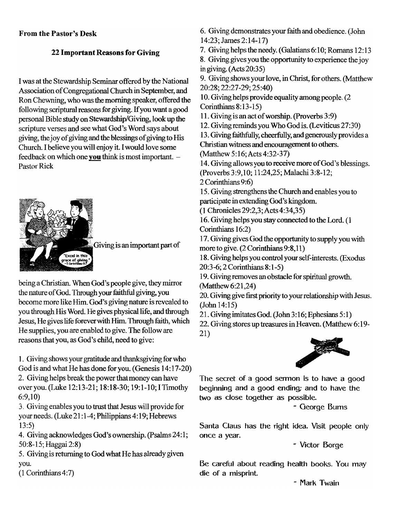## From the Pastor's Desk

# 22 lmportant Reasons for Giving

I was at the Stewardship Seminar offered by the National Association of Congregational Church in September, and Ron Chewning, who was the morning speaker, offered the following scriptural reasons for giving. If you want a good personal Bible study on Stewardship/Giving, look up the scripture verses and see what God's Word says about giving, the joy of giving and the blessings of giving to His Church. I believe you will enjoy it. I would love some feedback on which one **you** think is most important.  $-$  Pastor Rick



Giving is an important part of

being a Christian. When God's people give, they mirror the nature of God. Through your faithful giving, you become more like Him. God's giving nature is revealed to you through His Word. He gives physical life, and through Jesus, He gives life forever with Him. Through faith, which He supplies, you are enabled to give. The follow are reasons that you, as God's child, need to give:

1. Giving shows your gratitude and thanksgiving for who God is and what He has done foryou. (Genesis 14:17-20) 2. Giving helps break the power that money can have overyou. (Luke 12:13^21; I8:I8-30; 19:I-I0; ITimothy 6:9,10)

3. Giving enables you to trust that Jesus will provide for your needs. (Luke 21:1-4; Philippians 4:19; Hebrews 13:5)

4. Giving acknowledges God's ownership. (Psalms 24:1; 50:8-15; Haggai 2:8)

5. Giving is returning to God what He has already given you.

(l Corinthians4:7)

6. Giving demonstrates your faith and obedience. (John I4:23;James 2:14-17)

7. Giving helps the needy. (Galatians 6: l0; Romans 12:13

8. Giving gives you the opportunity to experience the joy in giving.  $(Acts 20:35)$ 

9. Giving shows your love, in Christ, for others. (Matthew 20 :28 ; 22 :27 -29 ; 25 :40)

10. Giving helps provide equality among people. (2) Corinthians 8:13-15)

11. Giving is an act of worship. (Proverbs 3:9)

12. Giving reminds you Who God is. (Leviticus 27:30)

13. Giving faithfully, cheerfully, and generously provides a Christian witness and encouragement to others.

(Matthew 5:16; Acts 4:32-37)

14. Giving allows you to receive more of God's blessings. (Proverbs 3:9, 10; 11:24, 25; Malachi 3:8-12;

2 Corinthians 9:6)

15. Giving strengthens the Church and enables you to participale in extending God's kingdom.

(1 Chronicles 29:2,3; Acts 4:34,35)

16. Giving helps you stay connected to the Lord. (1) Corinthians 16:2)

17. Giving gives God the opportunity to supply you with more to give. (2 Corinthians 9:8,1l)

18. Giving helps you control your self-interests. (Exodus 20:3-6; 2 Corinthians 8:1-5)

19. Giving removes an obstacle for spiritual growth. (Matthew 6:21,24)

20. Giving give first priority to your relationship with Jesus. (John 14:15)

21. Giving imitates God. (John 3:16; Ephesians 5:1)

22. Giving stores up treasures in Heaven. (Matthew 6:19-21)



The secret of a good sermon is to have a good beginning and a good ending; and to have the two as close together as possible.

- George Bums

Santa Claus has the right idea. Visit people only once a year.

- Mctor Borge

Be careful about reading health books. You may die of a misprinL

- Mark Twain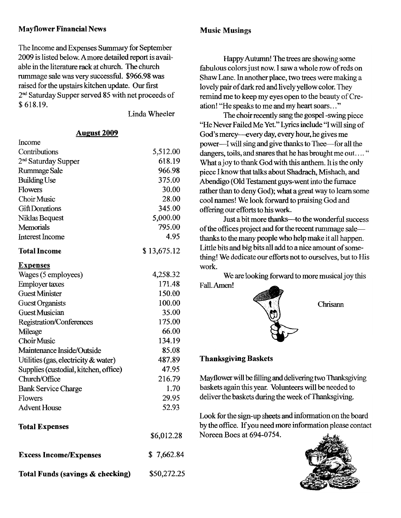# Mayflower Financial News

The lncome and Expenses Summary for September 2009 is listed below. A more detailed report is available in the literature rack at church. The church rummage sale was very successful. \$966.98 was raised for the upstairs kitchen update. Our first 2'd Saturday Supper served 85 with net proceeds of s 618.19.

Linda Wheeler

#### **August 2009**

| Income                                |             |
|---------------------------------------|-------------|
| Contributions                         | 5,512.00    |
| 2 <sup>nd</sup> Saturday Supper       | 618.19      |
| Rummage Sale                          | 966.98      |
| <b>Building Use</b>                   | 375.00      |
| Flowers                               | 30.00       |
| Choir Music                           | 28.00       |
| <b>Gift Donations</b>                 | 345.00      |
| Niklas Bequest                        | 5,000.00    |
| <b>Memorials</b>                      | 795.00      |
| <b>Interest Income</b>                | 4.95        |
| <b>Total Income</b>                   | \$13,675.12 |
| <b>Expenses</b>                       |             |
| Wages (5 employees)                   | 4,258.32    |
| <b>Employer taxes</b>                 | 171.48      |
| <b>Guest Minister</b>                 | 150.00      |
| <b>Guest Organists</b>                | 100.00      |
| <b>Guest Musician</b>                 | 35.00       |
| Registration/Conferences              | 175.00      |
| Mileage                               | 66.00       |
| <b>Choir Music</b>                    | 134.19      |
| Maintenance Inside/Outside            | 85.08       |
| Utilities (gas, electricity & water)  | 487.89      |
| Supplies (custodial, kitchen, office) | 47.95       |
| Church/Office                         | 216.79      |
| <b>Bank Service Charge</b>            | 1.70        |
| Flowers                               | 29.95       |
| <b>Advent House</b>                   | 52.93       |
| <b>Total Expenses</b>                 |             |
|                                       | \$6,012.28  |
| <b>Excess Income/Expenses</b>         | \$7,662.84  |
| Total Funds (savings & checking)      | \$50,272.25 |

#### Music Musings

Happy Autumn! The trees are showing some fabulous colors just now. I saw a whole row of reds on Shaw Lane. In another place, two trees were making a lovely pair of dark red and lively yellow color. They remind me to keep my eyes open to the beauty of Creation! "He speaks to me and my heart soars. . ."

The choir recently sang the gospel -swing piece "He Never Failed Me Yet." Lyrics include "I will sing of God's mercy---every day, every hour, he gives me power-I will sing and give thanks to Thee-for all the dangers, toils, and snares that he has brought me out...." What a joy to thank God with this anthem. It is the only piece I know that talks about Shadrach, Mishach, and Abendigo (Old Testament guys-went into the fumace rather than to deny God); what a great way to learn some cool names! We look forward to praising God and offering our efforts to his work.

Just a bit more thanks-to the wonderful success of the offices project and for the recent rummage salethanks to the many people who help make it all happen. Little bits and big bits all add to anice amount of something! We dedicate our efforts not to ourselves, but to His work.

We are looking forward to more musical joy this Fall-Amen!



Chrisann

## Thanksgiving Baskets

Mayflower will be filling and delivering two Thanksgiving baskets again this year. Volunteers will be needed to deliver the baskets during the week of Thanksgiving.

Look for the sign-up sheets and information on the board by the office. Ifyou need more inforrnation please contact Noreen Boes at 694-0754.